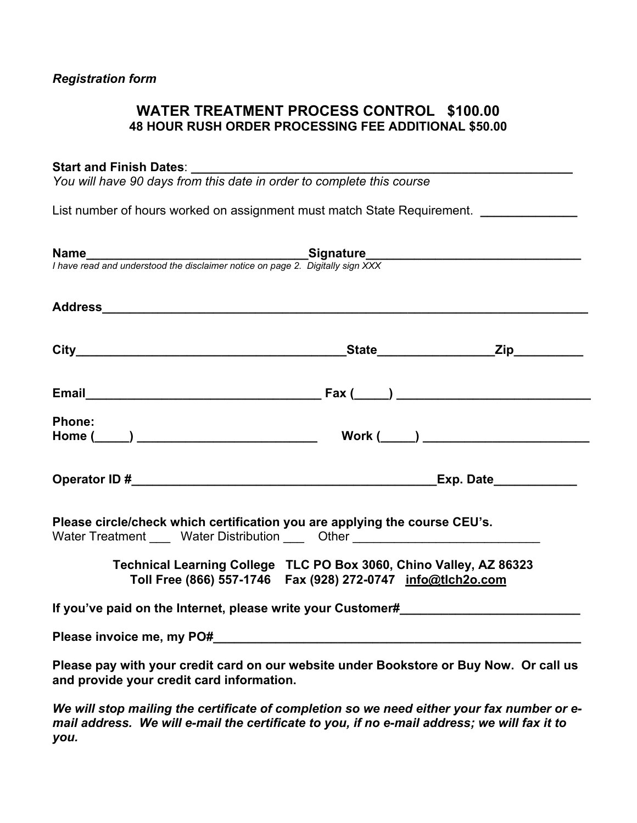# **WATER TREATMENT PROCESS CONTROL \$100.00 48 HOUR RUSH ORDER PROCESSING FEE ADDITIONAL \$50.00**

## **Start and Finish Dates**: **\_\_\_\_\_\_\_\_\_\_\_\_\_\_\_\_\_\_\_\_\_\_\_\_\_\_\_\_\_\_\_\_\_\_\_\_\_\_\_\_\_\_\_\_\_\_\_\_\_\_\_\_\_\_\_**

*You will have 90 days from this date in order to complete this course* 

List number of hours worked on assignment must match State Requirement. *\_\_\_\_\_\_\_\_\_\_\_\_* 

| <b>Name</b><br>I have read and understood the disclaimer notice on page 2. Digitally sign XXX                                                                  |                                                                                                                                     |  |
|----------------------------------------------------------------------------------------------------------------------------------------------------------------|-------------------------------------------------------------------------------------------------------------------------------------|--|
|                                                                                                                                                                |                                                                                                                                     |  |
|                                                                                                                                                                |                                                                                                                                     |  |
|                                                                                                                                                                |                                                                                                                                     |  |
| <b>Phone:</b>                                                                                                                                                  |                                                                                                                                     |  |
|                                                                                                                                                                |                                                                                                                                     |  |
| Please circle/check which certification you are applying the course CEU's.<br>Water Treatment _____ Water Distribution _____ Other ___________________________ |                                                                                                                                     |  |
|                                                                                                                                                                | Technical Learning College TLC PO Box 3060, Chino Valley, AZ 86323<br>Toll Free (866) 557-1746  Fax (928) 272-0747  info@tlch2o.com |  |
| If you've paid on the Internet, please write your Customer#                                                                                                    |                                                                                                                                     |  |
|                                                                                                                                                                |                                                                                                                                     |  |
| Please pay with your credit card on our website under Bookstore or Buy Now. Or call us<br>and provide your credit card information.                            |                                                                                                                                     |  |
|                                                                                                                                                                |                                                                                                                                     |  |

*We will stop mailing the certificate of completion so we need either your fax number or email address. We will e-mail the certificate to you, if no e-mail address; we will fax it to you.*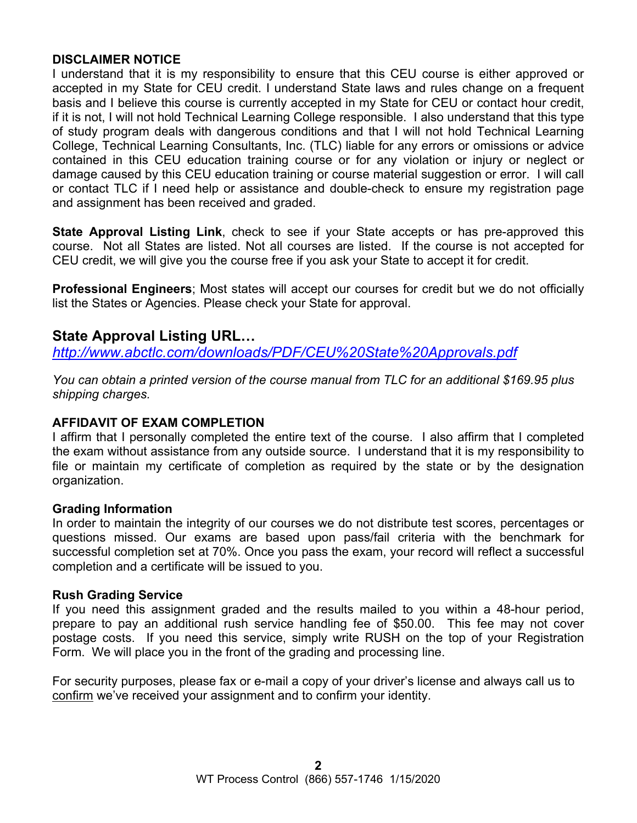# **DISCLAIMER NOTICE**

I understand that it is my responsibility to ensure that this CEU course is either approved or accepted in my State for CEU credit. I understand State laws and rules change on a frequent basis and I believe this course is currently accepted in my State for CEU or contact hour credit, if it is not, I will not hold Technical Learning College responsible. I also understand that this type of study program deals with dangerous conditions and that I will not hold Technical Learning College, Technical Learning Consultants, Inc. (TLC) liable for any errors or omissions or advice contained in this CEU education training course or for any violation or injury or neglect or damage caused by this CEU education training or course material suggestion or error. I will call or contact TLC if I need help or assistance and double-check to ensure my registration page and assignment has been received and graded.

**State Approval Listing Link**, check to see if your State accepts or has pre-approved this course. Not all States are listed. Not all courses are listed. If the course is not accepted for CEU credit, we will give you the course free if you ask your State to accept it for credit.

**Professional Engineers**; Most states will accept our courses for credit but we do not officially list the States or Agencies. Please check your State for approval.

# **State Approval Listing URL…**

*<http://www.abctlc.com/downloads/PDF/CEU%20State%20Approvals.pdf>*

*You can obtain a printed version of the course manual from TLC for an additional \$169.95 plus shipping charges.* 

# **AFFIDAVIT OF EXAM COMPLETION**

I affirm that I personally completed the entire text of the course. I also affirm that I completed the exam without assistance from any outside source. I understand that it is my responsibility to file or maintain my certificate of completion as required by the state or by the designation organization.

# **Grading Information**

In order to maintain the integrity of our courses we do not distribute test scores, percentages or questions missed. Our exams are based upon pass/fail criteria with the benchmark for successful completion set at 70%. Once you pass the exam, your record will reflect a successful completion and a certificate will be issued to you.

# **Rush Grading Service**

If you need this assignment graded and the results mailed to you within a 48-hour period, prepare to pay an additional rush service handling fee of \$50.00. This fee may not cover postage costs. If you need this service, simply write RUSH on the top of your Registration Form. We will place you in the front of the grading and processing line.

For security purposes, please fax or e-mail a copy of your driver's license and always call us to confirm we've received your assignment and to confirm your identity.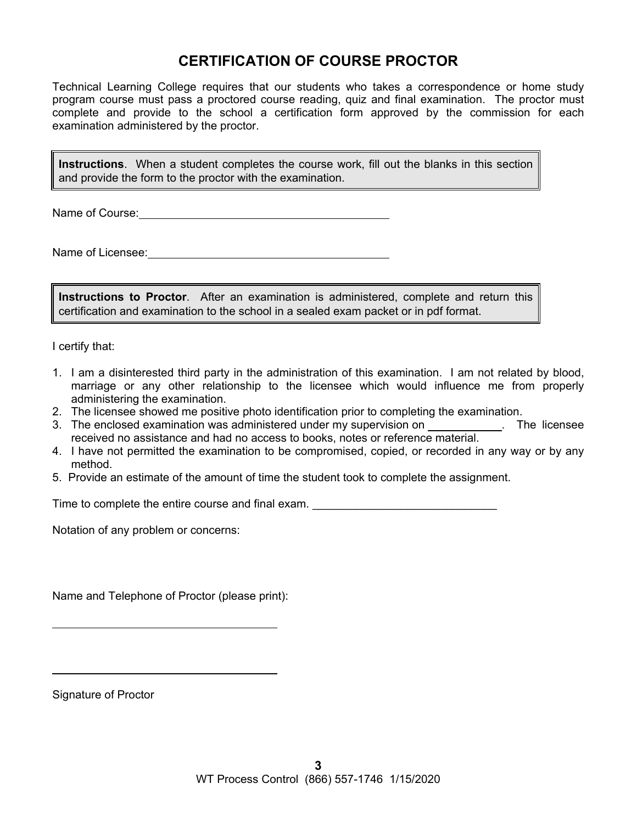# **CERTIFICATION OF COURSE PROCTOR**

Technical Learning College requires that our students who takes a correspondence or home study program course must pass a proctored course reading, quiz and final examination. The proctor must complete and provide to the school a certification form approved by the commission for each examination administered by the proctor.

**Instructions**. When a student completes the course work, fill out the blanks in this section and provide the form to the proctor with the examination.

Name of Course:  $\blacksquare$ 

Name of Licensee:

**Instructions to Proctor**. After an examination is administered, complete and return this certification and examination to the school in a sealed exam packet or in pdf format.

I certify that:

- 1. I am a disinterested third party in the administration of this examination. I am not related by blood, marriage or any other relationship to the licensee which would influence me from properly administering the examination.
- 2. The licensee showed me positive photo identification prior to completing the examination.
- 3. The enclosed examination was administered under my supervision on . The licensee received no assistance and had no access to books, notes or reference material.
- 4. I have not permitted the examination to be compromised, copied, or recorded in any way or by any method.
- 5. Provide an estimate of the amount of time the student took to complete the assignment.

Time to complete the entire course and final exam.

Notation of any problem or concerns:

Name and Telephone of Proctor (please print):

Signature of Proctor

 $\overline{a}$ 

 $\overline{a}$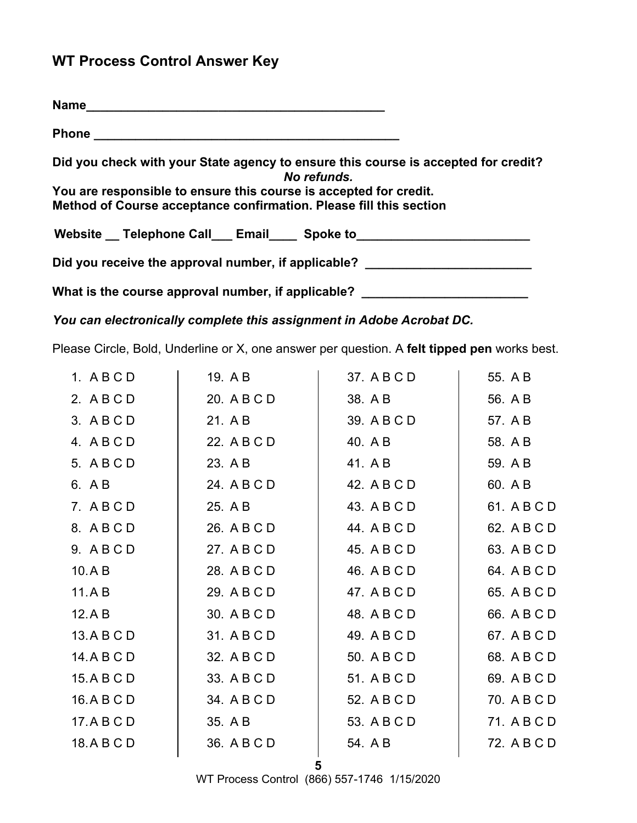# **WT Process Control Answer Key**

| Phone <u>2008 - 2008 - 2008 - 2008 - 2008 - 2008 - 2008 - 2008 - 2008 - 2008 - 2008 - 2008 - 2008 - 2008 - 2008 - 2008 - 2008 - 2008 - 2008 - 2008 - 2008 - 2008 - 2008 - 2008 - 2008 - 2008 - 2008 - 2008 - 2008 - 2008 - 2008 </u> |
|--------------------------------------------------------------------------------------------------------------------------------------------------------------------------------------------------------------------------------------|
| Did you check with your State agency to ensure this course is accepted for credit?<br>No refunds.                                                                                                                                    |
| You are responsible to ensure this course is accepted for credit.<br>Method of Course acceptance confirmation. Please fill this section                                                                                              |
| Website _ Telephone Call___ Email____ Spoke to_______                                                                                                                                                                                |
| Did you receive the approval number, if applicable?                                                                                                                                                                                  |
| What is the course approval number, if applicable?                                                                                                                                                                                   |

*You can electronically complete this assignment in Adobe Acrobat DC.* 

Please Circle, Bold, Underline or X, one answer per question. A **felt tipped pen** works best.

| 19. A B     | 37. A B C D | 55. A B     |
|-------------|-------------|-------------|
| 20. A B C D | 38. A B     | 56. A B     |
| 21. A B     | 39. A B C D | 57. A B     |
| 22. A B C D | 40. A B     | 58. A B     |
| 23. A B     | 41. A B     | 59. A B     |
| 24. A B C D | 42. A B C D | 60. A B     |
| 25. A B     | 43. A B C D | 61. A B C D |
| 26. A B C D | 44. A B C D | 62. A B C D |
| 27. A B C D | 45. A B C D | 63. A B C D |
| 28. A B C D | 46. A B C D | 64. A B C D |
| 29. A B C D | 47. A B C D | 65. A B C D |
| 30. A B C D | 48. A B C D | 66. A B C D |
| 31. A B C D | 49. A B C D | 67. A B C D |
| 32. A B C D | 50. A B C D | 68. A B C D |
| 33. A B C D | 51. A B C D | 69. A B C D |
| 34. A B C D | 52. A B C D | 70. A B C D |
| 35. A B     | 53. A B C D | 71. A B C D |
| 36. A B C D | 54. A B     | 72. A B C D |
|             |             |             |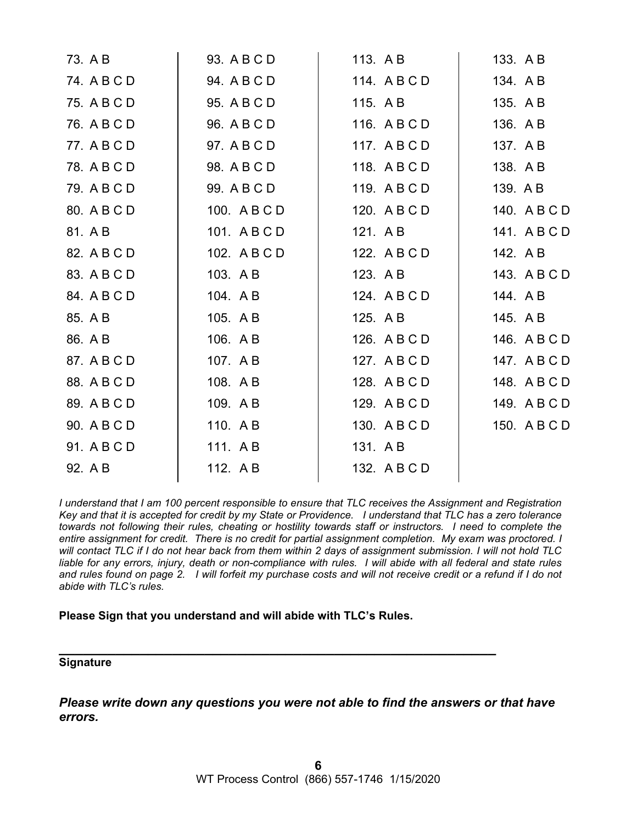| 73. A B     | 93. A B C D  | 113. A B     | 133. A B     |
|-------------|--------------|--------------|--------------|
| 74. A B C D | 94. A B C D  | 114. ABCD    | 134. AB      |
| 75. A B C D | 95. A B C D  | 115. AB      | 135. A B     |
| 76. A B C D | 96. A B C D  | 116. A B C D | 136. AB      |
| 77. A B C D | 97. A B C D  | 117. ABCD    | 137. AB      |
| 78. A B C D | 98. A B C D  | 118. ABCD    | 138. AB      |
| 79. A B C D | 99. A B C D  | 119. A B C D | 139. A B     |
| 80. A B C D | 100. A B C D | 120. A B C D | 140. A B C D |
| 81. A B     | 101. ABCD    | 121. A B     | 141. ABCD    |
| 82. A B C D | 102. A B C D | 122. A B C D | 142. A B     |
| 83. A B C D | 103. A B     | 123. AB      | 143. A B C D |
| 84. A B C D | 104. AB      | 124. A B C D | 144. AB      |
| 85. A B     | 105. AB      | 125. A B     | 145. A B     |
| 86. A B     | 106. AB      | 126. A B C D | 146. A B C D |
| 87. A B C D | 107. AB      | 127. A B C D | 147. A B C D |
| 88. A B C D | 108. AB      | 128. A B C D | 148. A B C D |
| 89. A B C D | 109. AB      | 129. A B C D | 149. A B C D |
| 90. A B C D | 110. AB      | 130. A B C D | 150. A B C D |
| 91. A B C D | 111. AB      | 131. AB      |              |
| 92. A B     | 112. AB      | 132. A B C D |              |
|             |              |              |              |

*I understand that I am 100 percent responsible to ensure that TLC receives the Assignment and Registration Key and that it is accepted for credit by my State or Providence. I understand that TLC has a zero tolerance towards not following their rules, cheating or hostility towards staff or instructors. I need to complete the entire assignment for credit. There is no credit for partial assignment completion. My exam was proctored. I will contact TLC if I do not hear back from them within 2 days of assignment submission. I will not hold TLC liable for any errors, injury, death or non-compliance with rules. I will abide with all federal and state rules and rules found on page 2. I will forfeit my purchase costs and will not receive credit or a refund if I do not abide with TLC's rules.* 

#### **Please Sign that you understand and will abide with TLC's Rules.**

# **\_\_\_\_\_\_\_\_\_\_\_\_\_\_\_\_\_\_\_\_\_\_\_\_\_\_\_\_\_\_\_\_\_\_\_\_\_\_\_\_\_\_\_\_\_\_\_\_\_\_\_\_\_\_ Signature**

*Please write down any questions you were not able to find the answers or that have errors.*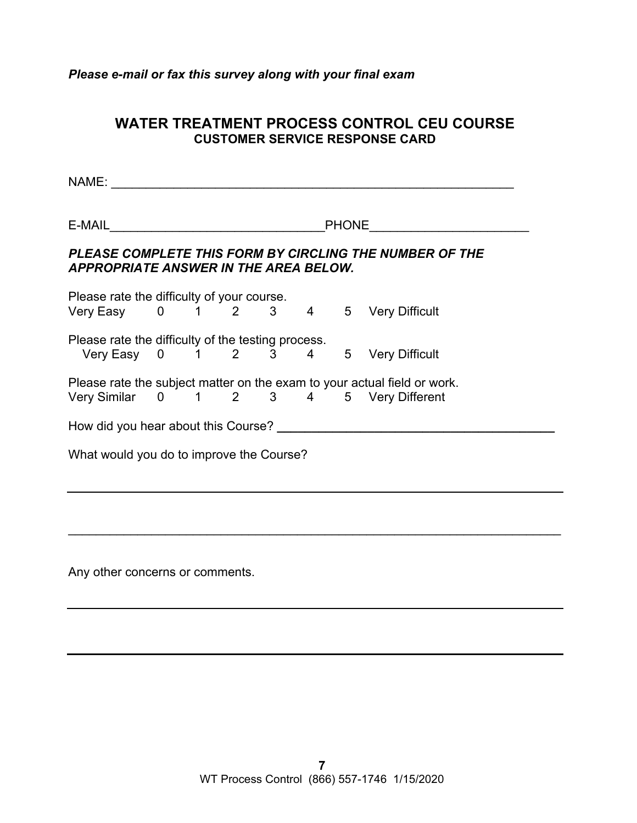*Please e-mail or fax this survey along with your final exam* 

# **WATER TREATMENT PROCESS CONTROL CEU COURSE CUSTOMER SERVICE RESPONSE CARD**

NAME: \_\_\_\_\_\_\_\_\_\_\_\_\_\_\_\_\_\_\_\_\_\_\_\_\_\_\_\_\_\_\_\_\_\_\_\_\_\_\_\_\_\_\_\_\_\_\_\_\_\_\_\_\_\_\_\_\_\_

E-MAIL **E-MAIL** 

# *PLEASE COMPLETE THIS FORM BY CIRCLING THE NUMBER OF THE APPROPRIATE ANSWER IN THE AREA BELOW.*

Please rate the difficulty of your course. Very Easy 0 1 2 3 4 5 Very Difficult Please rate the difficulty of the testing process. Very Easy 0 1 2 3 4 5 Very Difficult Please rate the subject matter on the exam to your actual field or work. Very Similar 0 1 2 3 4 5 Very Different How did you hear about this Course? **\_\_\_\_\_\_\_\_\_** What would you do to improve the Course?

 $\overline{\phantom{a}}$  , and the contribution of the contribution of the contribution of the contribution of the contribution of the contribution of the contribution of the contribution of the contribution of the contribution of the

Any other concerns or comments.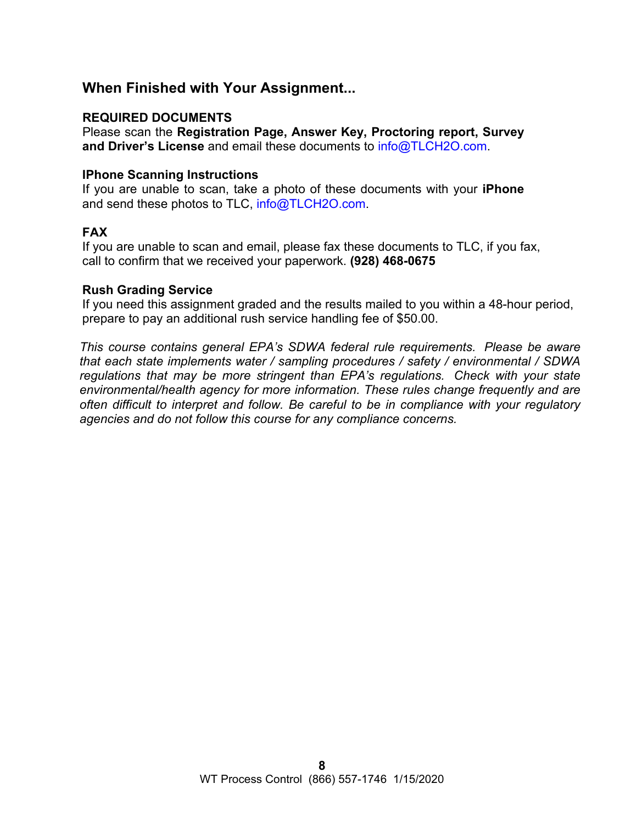# **When Finished with Your Assignment...**

# **REQUIRED DOCUMENTS**

Please scan the **Registration Page, Answer Key, Proctoring report, Survey and Driver's License** and email these documents to [info@TLCH2O.com.](mailto:info@TLCH2O.com) 

## **IPhone Scanning Instructions**

If you are unable to scan, take a photo of these documents with your **iPhone** and send these photos to TLC, info@TLCH2O.com.

# **FAX**

If you are unable to scan and email, please fax these documents to TLC, if you fax, call to confirm that we received your paperwork. **(928) 468-0675** 

## **Rush Grading Service**

If you need this assignment graded and the results mailed to you within a 48-hour period, prepare to pay an additional rush service handling fee of \$50.00.

*This course contains general EPA's SDWA federal rule requirements. Please be aware that each state implements water / sampling procedures / safety / environmental / SDWA regulations that may be more stringent than EPA's regulations. Check with your state environmental/health agency for more information. These rules change frequently and are often difficult to interpret and follow. Be careful to be in compliance with your regulatory agencies and do not follow this course for any compliance concerns.*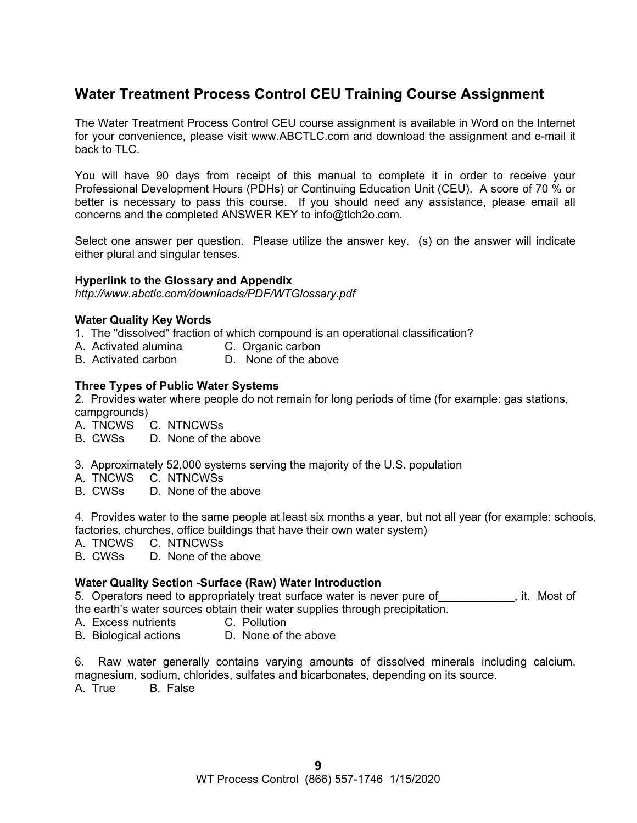# **Water Treatment Process Control CEU Training Course Assignment**

The Water Treatment Process Control CEU course assignment is available in Word on the Internet for your convenience, please visit [www.ABCTLC.com an](http://www.ABCTLC.com)d download the assignment and e-mail it back to TLC.

You will have 90 days from receipt of this manual to complete it in order to receive your Professional Development Hours (PDHs) or Continuing Education Unit (CEU). A score of 70 % or better is necessary to pass this course. If you should need any assistance, please email all concerns and the completed ANSWER KEY to [info@tlch2o.com.](mailto:info@tlch2o.com) 

Select one answer per question. Please utilize the answer key. (s) on the answer will indicate either plural and singular tenses.

#### **Hyperlink to the Glossary and Appendix**

*<http://www.abctlc.com/downloads/PDF/WTGlossary.pdf>*

#### **Water Quality Key Words**

- 1. The "dissolved" fraction of which compound is an operational classification?
- A. Activated alumina C. Organic carbon
- B. Activated carbon D. None of the above

#### **Three Types of Public Water Systems**

2. Provides water where people do not remain for long periods of time (for example: gas stations, campgrounds)

- A. TNCWS C. NTNCWSs
- B. CWSs D. None of the above
- 3. Approximately 52,000 systems serving the majority of the U.S. population
- A. TNCWS C. NTNCWSs
- B. CWSs D. None of the above

4.Provides water to the same people at least six months a year, but not all year (for example: schools, factories, churches, office buildings that have their own water system)

A. TNCWS C. NTNCWSs

B. CWSs D. None of the above

#### **Water Quality Section -Surface (Raw) Water Introduction**

5. Operators need to appropriately treat surface water is never pure of Theorem it. Most of the earth's water sources obtain their water supplies through precipitation.

- A. Excess nutrients C. Pollution
- B. Biological actions D. None of the above

6. Raw water generally contains varying amounts of dissolved minerals including calcium, magnesium, sodium, chlorides, sulfates and bicarbonates, depending on its source.

A. True B. False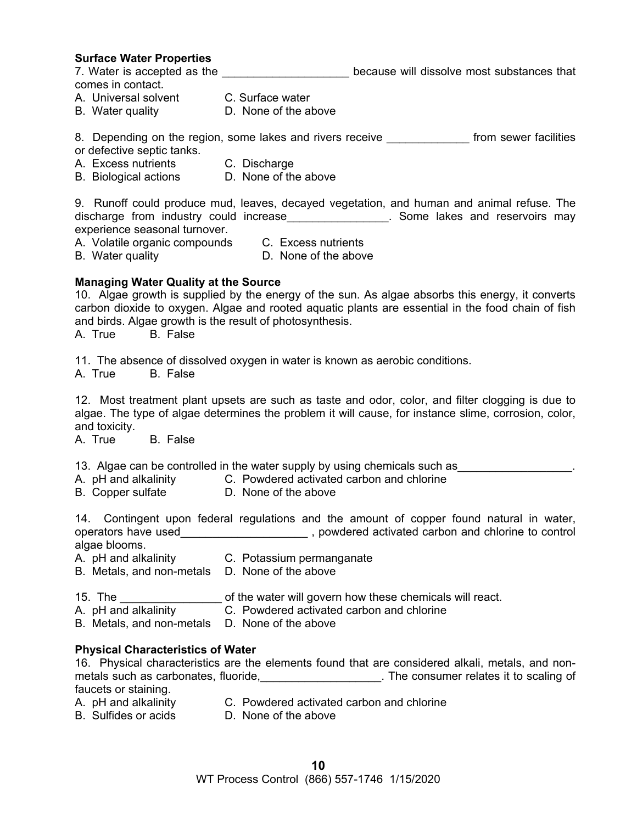#### **Surface Water Properties**

7. Water is accepted as the **Exercise 20** because will dissolve most substances that

comes in contact.

- A. Universal solvent C. Surface water
- B. Water quality D. None of the above

8. Depending on the region, some lakes and rivers receive \_\_\_\_\_\_\_\_\_\_\_\_\_ from sewer facilities

- or defective septic tanks.
- A. Excess nutrients C. Discharge
- B. Biological actions D. None of the above

9. Runoff could produce mud, leaves, decayed vegetation, and human and animal refuse. The discharge from industry could increase\_\_\_\_\_\_\_\_\_\_\_\_\_\_\_\_\_. Some lakes and reservoirs may experience seasonal turnover.

- A. Volatile organic compounds C. Excess nutrients
	-
- B. Water quality **D.** None of the above
- 

#### **Managing Water Quality at the Source**

10. Algae growth is supplied by the energy of the sun. As algae absorbs this energy, it converts carbon dioxide to oxygen. Algae and rooted aquatic plants are essential in the food chain of fish and birds. Algae growth is the result of photosynthesis.

A. True B. False

11. The absence of dissolved oxygen in water is known as aerobic conditions.

A. True B. False

12. Most treatment plant upsets are such as taste and odor, color, and filter clogging is due to algae. The type of algae determines the problem it will cause, for instance slime, corrosion, color, and toxicity.

A. True B. False

- 13. Algae can be controlled in the water supply by using chemicals such as
- A. pH and alkalinity C. Powdered activated carbon and chlorine
- B. Copper sulfate D. None of the above

14. Contingent upon federal regulations and the amount of copper found natural in water, operators have used  $\qquad \qquad \qquad$ , powdered activated carbon and chlorine to control algae blooms.

- A. pH and alkalinity C. Potassium permanganate
- B. Metals, and non-metals D. None of the above
- 15. The <u>second contribution of the water will govern how these chemicals will react</u>.
- A. pH and alkalinity C. Powdered activated carbon and chlorine
- B. Metals, and non-metals D. None of the above

#### **Physical Characteristics of Water**

16. Physical characteristics are the elements found that are considered alkali, metals, and nonmetals such as carbonates, fluoride, \_\_\_\_\_\_\_\_\_\_\_\_\_\_\_\_\_\_\_\_. The consumer relates it to scaling of faucets or staining.

- A. pH and alkalinity C. Powdered activated carbon and chlorine<br>B. Sulfides or acids C. None of the above
- D. None of the above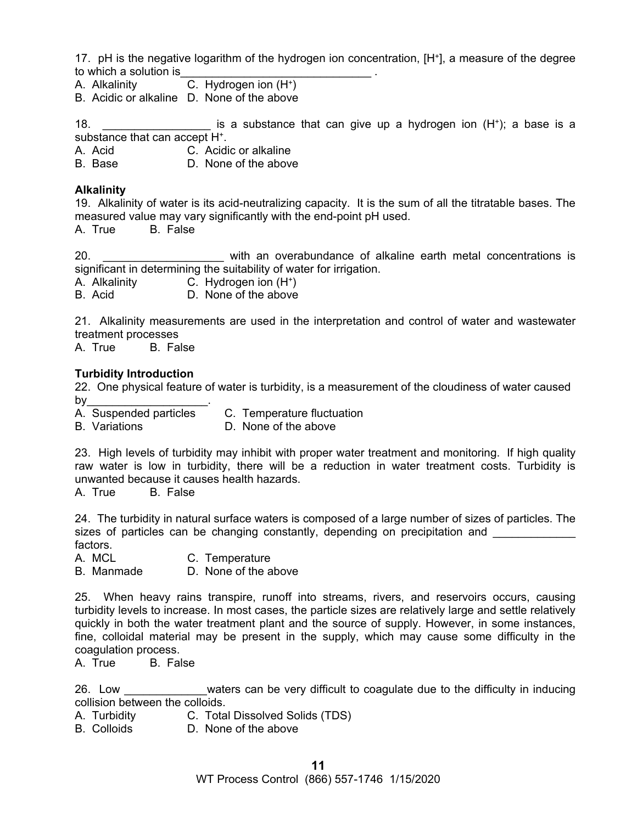17. pH is the negative logarithm of the hydrogen ion concentration, [H+], a measure of the degree to which a solution is

A. Alkalinity C. Hydrogen ion (H+)

B. Acidic or alkaline D. None of the above

18. **the interpretatal is a substance that can give up a hydrogen ion (H<sup>+</sup>); a base is a** substance that can accept H<sup>+</sup>.

A. Acid C. Acidic or alkaline

B. Base D. None of the above

#### **Alkalinity**

19. Alkalinity of water is its acid-neutralizing capacity. It is the sum of all the titratable bases. The measured value may vary significantly with the end-point pH used.

A. True B. False

20. \_\_\_\_\_\_\_\_\_\_\_\_\_\_\_\_\_\_\_ with an overabundance of alkaline earth metal concentrations is significant in determining the suitability of water for irrigation.

A. Alkalinity C. Hydrogen ion (H+)

B. Acid D. None of the above

21. Alkalinity measurements are used in the interpretation and control of water and wastewater treatment processes

A. True B. False

#### **Turbidity Introduction**

22. One physical feature of water is turbidity, is a measurement of the cloudiness of water caused

by\_\_\_\_\_\_\_\_\_\_\_\_\_\_\_\_\_\_\_\_\_\_\_.<br>A. Suspended particles C. Temperature fluctuation

B. Variations D. None of the above

23. High levels of turbidity may inhibit with proper water treatment and monitoring. If high quality raw water is low in turbidity, there will be a reduction in water treatment costs. Turbidity is unwanted because it causes health hazards.

A. True B. False

24. The turbidity in natural surface waters is composed of a large number of sizes of particles. The sizes of particles can be changing constantly, depending on precipitation and factors.

A. MCL C. Temperature

B. Manmade D. None of the above

25. When heavy rains transpire, runoff into streams, rivers, and reservoirs occurs, causing turbidity levels to increase. In most cases, the particle sizes are relatively large and settle relatively quickly in both the water treatment plant and the source of supply. However, in some instances, fine, colloidal material may be present in the supply, which may cause some difficulty in the coagulation process.

A. True B. False

26. Low **EXEC WE** waters can be very difficult to coagulate due to the difficulty in inducing collision between the colloids.

A. Turbidity C. Total Dissolved Solids (TDS)

B. Colloids D. None of the above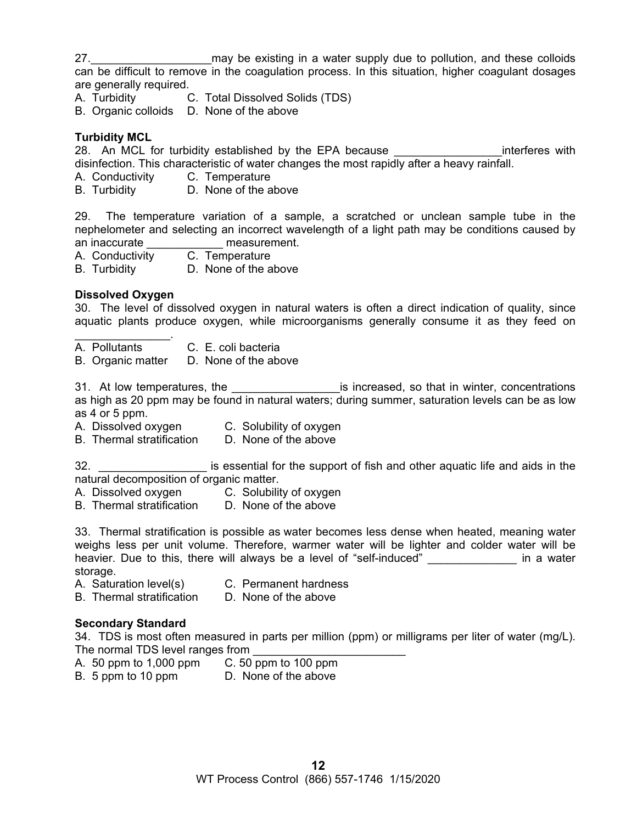27. **Example 10** may be existing in a water supply due to pollution, and these colloids can be difficult to remove in the coagulation process. In this situation, higher coagulant dosages are generally required.

A. Turbidity C. Total Dissolved Solids (TDS)

B. Organic colloids D. None of the above

#### **Turbidity MCL**

28. An MCL for turbidity established by the EPA because **EXAL and SIME interferes with** disinfection. This characteristic of water changes the most rapidly after a heavy rainfall.

- A. Conductivity C. Temperature
- B. Turbidity D. None of the above

29. The temperature variation of a sample, a scratched or unclean sample tube in the nephelometer and selecting an incorrect wavelength of a light path may be conditions caused by an inaccurate **and interest** measurement.

A. Conductivity C. Temperature

B. Turbidity D. None of the above

#### **Dissolved Oxygen**

30. The level of dissolved oxygen in natural waters is often a direct indication of quality, since aquatic plants produce oxygen, while microorganisms generally consume it as they feed on

 $\mathcal{L}_\text{max}$  and  $\mathcal{L}_\text{max}$ A. Pollutants C. E. coli bacteria

B. Organic matter D. None of the above

31. At low temperatures, the \_\_\_\_\_\_\_\_\_\_\_\_\_\_\_\_\_\_\_\_\_\_\_\_is increased, so that in winter, concentrations as high as 20 ppm may be found in natural waters; during summer, saturation levels can be as low as 4 or 5 ppm.

- A. Dissolved oxygen C. Solubility of oxygen
- B. Thermal stratification D. None of the above

32. \_\_\_\_\_\_\_\_\_\_\_\_\_\_\_\_\_\_\_\_\_ is essential for the support of fish and other aquatic life and aids in the natural decomposition of organic matter.

- A. Dissolved oxygen C. Solubility of oxygen
- B. Thermal stratification D. None of the above

33. Thermal stratification is possible as water becomes less dense when heated, meaning water weighs less per unit volume. Therefore, warmer water will be lighter and colder water will be heavier. Due to this, there will always be a level of "self-induced" and the same in a water storage.

- A. Saturation level(s) C. Permanent hardness
- B. Thermal stratification D. None of the above

#### **Secondary Standard**

34. TDS is most often measured in parts per million (ppm) or milligrams per liter of water (mg/L). The normal TDS level ranges from

- A. 50 ppm to 1,000 ppm C. 50 ppm to 100 ppm
- B. 5 ppm to 10 ppm D. None of the above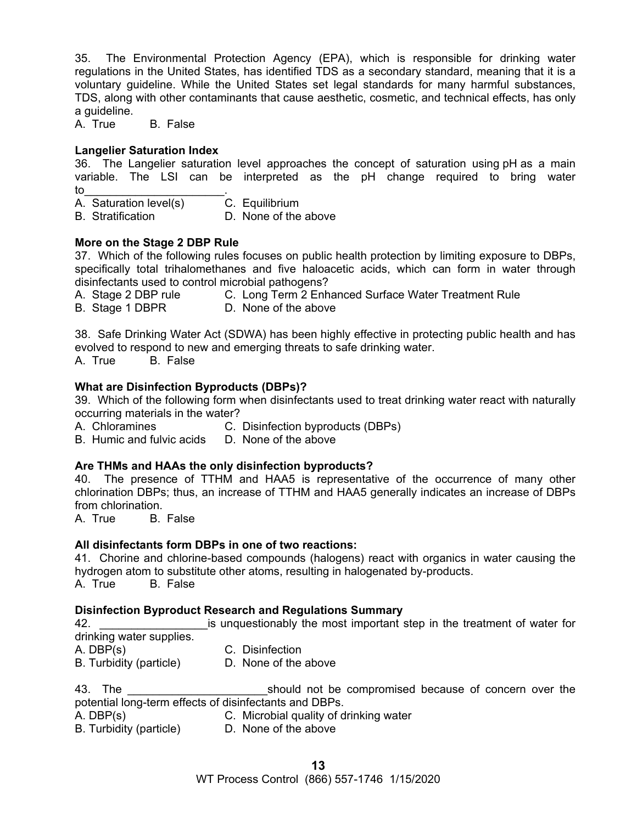35. The Environmental Protection Agency (EPA), which is responsible for drinking water regulations in the United States, has identified TDS as a secondary standard, meaning that it is a voluntary guideline. While the United States set legal standards for many harmful substances, TDS, along with other contaminants that cause aesthetic, cosmetic, and technical effects, has only a guideline.

A. True B. False

#### **Langelier Saturation Index**

36. The Langelier saturation level approaches the concept of saturation using pH as a main variable. The LSI can be interpreted as the pH change required to bring water to the set of  $\sim$  . The set of  $\sim$   $\sim$ 

A. Saturation level(s) C. Equilibrium

B. Stratification **D. None of the above** 

#### **More on the Stage 2 DBP Rule**

37. Which of the following rules focuses on public health protection by limiting exposure to DBPs, specifically total trihalomethanes and five haloacetic acids, which can form in water through disinfectants used to control microbial pathogens?

A. Stage 2 DBP rule C. Long Term 2 Enhanced Surface Water Treatment Rule

B. Stage 1 DBPR D. None of the above

38. Safe Drinking Water Act (SDWA) has been highly effective in protecting public health and has evolved to respond to new and emerging threats to safe drinking water.

A. True B. False

#### **What are Disinfection Byproducts (DBPs)?**

39. Which of the following form when disinfectants used to treat drinking water react with naturally occurring materials in the water?

A. Chloramines C. Disinfection byproducts (DBPs)

B. Humic and fulvic acids D. None of the above

#### **Are THMs and HAAs the only disinfection byproducts?**

40. The presence of TTHM and HAA5 is representative of the occurrence of many other chlorination DBPs; thus, an increase of TTHM and HAA5 generally indicates an increase of DBPs from chlorination.

A. True B. False

#### **All disinfectants form DBPs in one of two reactions:**

41. Chorine and chlorine-based compounds (halogens) react with organics in water causing the hydrogen atom to substitute other atoms, resulting in halogenated by-products. A. True B. False

#### **Disinfection Byproduct Research and Regulations Summary**

42. **Example 1** and is unquestionably the most important step in the treatment of water for drinking water supplies.

A. DBP(s) C. Disinfection

B. Turbidity (particle) D. None of the above

43. The **Example 2018** Should not be compromised because of concern over the potential long-term effects of disinfectants and DBPs.

A. DBP(s) C. Microbial quality of drinking water

B. Turbidity (particle) D. None of the above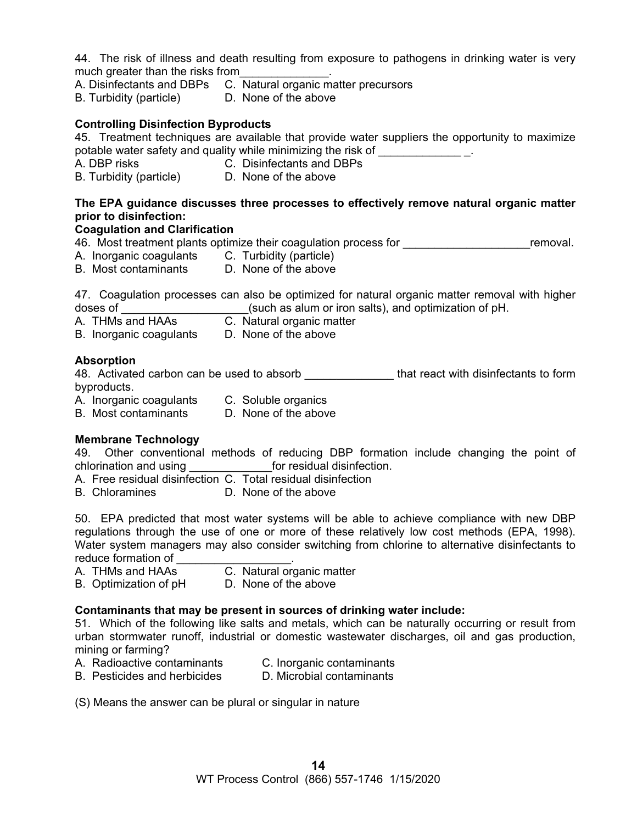44. The risk of illness and death resulting from exposure to pathogens in drinking water is very much greater than the risks from

- A. Disinfectants and DBPs C. Natural organic matter precursors
- B. Turbidity (particle) D. None of the above

## **Controlling Disinfection Byproducts**

45. Treatment techniques are available that provide water suppliers the opportunity to maximize potable water safety and quality while minimizing the risk of \_\_\_\_\_\_\_\_\_\_\_\_\_\_\_\_\_\_

- A. DBP risks C. Disinfectants and DBPs
- B. Turbidity (particle) D. None of the above

## **The EPA guidance discusses three processes to effectively remove natural organic matter prior to disinfection:**

## **Coagulation and Clarification**

46. Most treatment plants optimize their coagulation process for **Example 20** Femoval.

- A. Inorganic coagulants C. Turbidity (particle)
- B. Most contaminants D. None of the above

47. Coagulation processes can also be optimized for natural organic matter removal with higher doses of \_\_\_\_\_\_\_\_\_\_\_\_\_\_\_\_\_\_\_\_\_\_\_\_(such as alum or iron salts), and optimization of pH.

- A. THMs and HAAs C. Natural organic matter
- B. Inorganic coagulants D. None of the above

#### **Absorption**

48. Activated carbon can be used to absorb \_\_\_\_\_\_\_\_\_\_\_\_\_\_\_\_that react with disinfectants to form byproducts.

A. Inorganic coagulants C. Soluble organics

B. Most contaminants D. None of the above

#### **Membrane Technology**

49. Other conventional methods of reducing DBP formation include changing the point of chlorination and using \_\_\_\_\_\_\_\_\_\_\_\_\_for residual disinfection.

A. Free residual disinfection C. Total residual disinfection

B. Chloramines D. None of the above

50. EPA predicted that most water systems will be able to achieve compliance with new DBP regulations through the use of one or more of these relatively low cost methods (EPA, 1998). Water system managers may also consider switching from chlorine to alternative disinfectants to reduce formation of

- A. THMs and HAAs C. Natural organic matter
- B. Optimization of pH D. None of the above

#### **Contaminants that may be present in sources of drinking water include:**

51. Which of the following like salts and metals, which can be naturally occurring or result from urban stormwater runoff, industrial or domestic wastewater discharges, oil and gas production, mining or farming?

- A. Radioactive contaminants C. Inorganic contaminants
- B. Pesticides and herbicides D. Microbial contaminants
- (S) Means the answer can be plural or singular in nature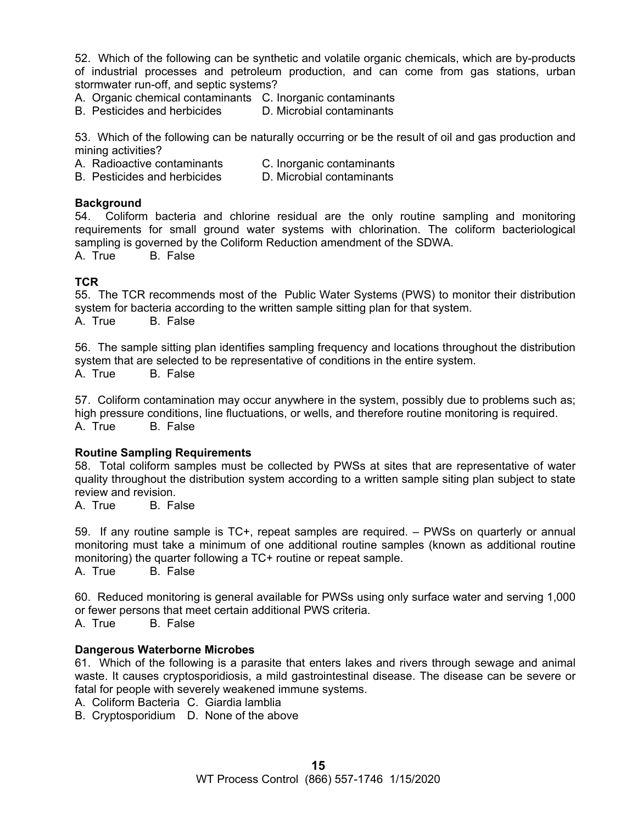52. Which of the following can be synthetic and volatile organic chemicals, which are by-products of industrial processes and petroleum production, and can come from gas stations, urban stormwater run-off, and septic systems?

A. Organic chemical contaminants C. Inorganic contaminants

B. Pesticides and herbicides D. Microbial contaminants

53. Which of the following can be naturally occurring or be the result of oil and gas production and mining activities?

A. Radioactive contaminants C. Inorganic contaminants

B. Pesticides and herbicides D. Microbial contaminants

#### **Background**

54. Coliform bacteria and chlorine residual are the only routine sampling and monitoring requirements for small ground water systems with chlorination. The coliform bacteriological sampling is governed by the Coliform Reduction amendment of the SDWA.

A. True B. False

#### **TCR**

55. The TCR recommends most of the Public Water Systems (PWS) to monitor their distribution system for bacteria according to the written sample sitting plan for that system. A. True B. False

56. The sample sitting plan identifies sampling frequency and locations throughout the distribution system that are selected to be representative of conditions in the entire system. A. True B. False

57. Coliform contamination may occur anywhere in the system, possibly due to problems such as; high pressure conditions, line fluctuations, or wells, and therefore routine monitoring is required. A. True B. False

#### **Routine Sampling Requirements**

58. Total coliform samples must be collected by PWSs at sites that are representative of water quality throughout the distribution system according to a written sample siting plan subject to state review and revision.

A. True B. False

59. If any routine sample is TC+, repeat samples are required. – PWSs on quarterly or annual monitoring must take a minimum of one additional routine samples (known as additional routine monitoring) the quarter following a TC+ routine or repeat sample.

A. True B. False

60. Reduced monitoring is general available for PWSs using only surface water and serving 1,000 or fewer persons that meet certain additional PWS criteria.

A. True B. False

#### **Dangerous Waterborne Microbes**

61. Which of the following is a parasite that enters lakes and rivers through sewage and animal waste. It causes cryptosporidiosis, a mild gastrointestinal disease. The disease can be severe or fatal for people with severely weakened immune systems.

A. Coliform Bacteria C. Giardia lamblia

B. Cryptosporidium D. None of the above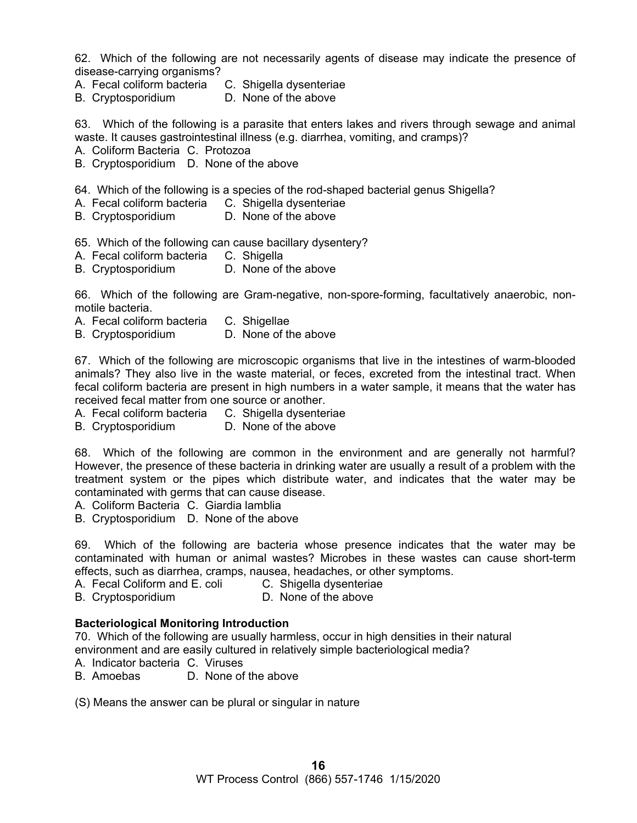62. Which of the following are not necessarily agents of disease may indicate the presence of disease-carrying organisms?

- A. Fecal coliform bacteria C. Shigella dysenteriae
- B. Cryptosporidium D. None of the above

63. Which of the following is a parasite that enters lakes and rivers through sewage and animal waste. It causes gastrointestinal illness (e.g. diarrhea, vomiting, and cramps)?

- A. Coliform Bacteria C. Protozoa
- B. Cryptosporidium D. None of the above
- 64. Which of the following is a species of the rod-shaped bacterial genus Shigella?
- A. Fecal coliform bacteria C. Shigella dysenteriae
- B. Cryptosporidium D. None of the above

65. Which of the following can cause bacillary dysentery?

- A. Fecal coliform bacteria C. Shigella
- B. Cryptosporidium D. None of the above

66. Which of the following are Gram-negative, non-spore-forming, facultatively anaerobic, nonmotile bacteria.

- A. Fecal coliform bacteria C. Shigellae
- B. Cryptosporidium D. None of the above

67. Which of the following are microscopic organisms that live in the intestines of warm-blooded animals? They also live in the waste material, or feces, excreted from the intestinal tract. When fecal coliform bacteria are present in high numbers in a water sample, it means that the water has received fecal matter from one source or another.

- A. Fecal coliform bacteria C. Shigella dysenteriae
- B. Cryptosporidium D. None of the above

68. Which of the following are common in the environment and are generally not harmful? However, the presence of these bacteria in drinking water are usually a result of a problem with the treatment system or the pipes which distribute water, and indicates that the water may be contaminated with germs that can cause disease.

- A. Coliform Bacteria C. Giardia lamblia
- B. Cryptosporidium D. None of the above

69. Which of the following are bacteria whose presence indicates that the water may be contaminated with human or animal wastes? Microbes in these wastes can cause short-term effects, such as diarrhea, cramps, nausea, headaches, or other symptoms.

- A. Fecal Coliform and E. coli C. Shigella dysenteriae
- B. Cryptosporidium D. None of the above

#### **Bacteriological Monitoring Introduction**

70. Which of the following are usually harmless, occur in high densities in their natural environment and are easily cultured in relatively simple bacteriological media?

- A. Indicator bacteria C. Viruses
- B. Amoebas D. None of the above

(S) Means the answer can be plural or singular in nature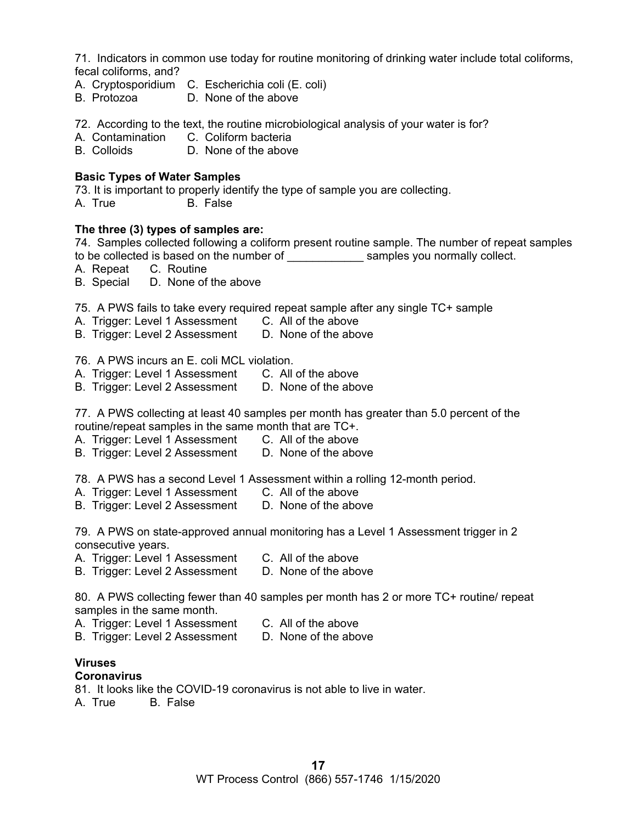71. Indicators in common use today for routine monitoring of drinking water include total coliforms, fecal coliforms, and?

- A. Cryptosporidium C. Escherichia coli (E. coli)
- B. Protozoa D. None of the above
- 72. According to the text, the routine microbiological analysis of your water is for?
- A. Contamination C. Coliform bacteria<br>
B. Colloids B. None of the above
- D. None of the above

#### **Basic Types of Water Samples**

73. It is important to properly identify the type of sample you are collecting.

A. True B. False

#### **The three (3) types of samples are:**

74. Samples collected following a coliform present routine sample. The number of repeat samples to be collected is based on the number of **Examples** you normally collect.

A. Repeat C. Routine

- B. Special D. None of the above
- 75. A PWS fails to take every required repeat sample after any single TC+ sample
- A. Trigger: Level 1 Assessment C. All of the above<br>B. Trigger: Level 2 Assessment D. None of the above
- B. Trigger: Level 2 Assessment

#### 76. A PWS incurs an E. coli MCL violation.

- A. Trigger: Level 1 Assessment C. All of the above
- B. Trigger: Level 2 Assessment D. None of the above

77. A PWS collecting at least 40 samples per month has greater than 5.0 percent of the routine/repeat samples in the same month that are TC+.

- A. Trigger: Level 1 Assessment C. All of the above
- B. Trigger: Level 2 Assessment D. None of the above

78. A PWS has a second Level 1 Assessment within a rolling 12-month period.

- A. Trigger: Level 1 Assessment C. All of the above
- B. Trigger: Level 2 Assessment D. None of the above

79. A PWS on state-approved annual monitoring has a Level 1 Assessment trigger in 2 consecutive years.

A. Trigger: Level 1 Assessment C. All of the above

B. Trigger: Level 2 Assessment D. None of the above

80. A PWS collecting fewer than 40 samples per month has 2 or more TC+ routine/ repeat samples in the same month.

- A. Trigger: Level 1 Assessment C. All of the above
- B. Trigger: Level 2 Assessment D. None of the above

# **Viruses**

#### **Coronavirus**

- 81. It looks like the COVID-19 coronavirus is not able to live in water.
- A. True B. False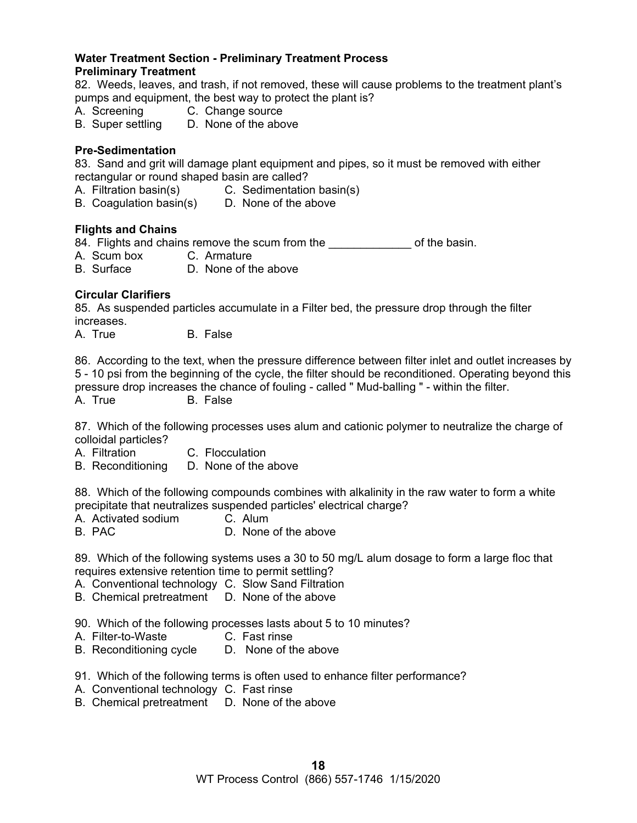#### **Water Treatment Section - Preliminary Treatment Process Preliminary Treatment**

82. Weeds, leaves, and trash, if not removed, these will cause problems to the treatment plant's pumps and equipment, the best way to protect the plant is?

- A. Screening C. Change source
- B. Super settling D. None of the above

#### **Pre-Sedimentation**

83. Sand and grit will damage plant equipment and pipes, so it must be removed with either rectangular or round shaped basin are called?

- A. Filtration basin(s) C. Sedimentation basin(s)
- B. Coagulation basin(s) D. None of the above

#### **Flights and Chains**

84. Flights and chains remove the scum from the sacking of the basin.

- A. Scum box C. Armature
- B. Surface D. None of the above

#### **Circular Clarifiers**

85. As suspended particles accumulate in a Filter bed, the pressure drop through the filter increases.

A. True B. False

86. According to the text, when the pressure difference between filter inlet and outlet increases by 5 - 10 psi from the beginning of the cycle, the filter should be reconditioned. Operating beyond this pressure drop increases the chance of fouling - called " Mud-balling " - within the filter.

A. True B. False

87. Which of the following processes uses alum and cationic polymer to neutralize the charge of colloidal particles?

- A. Filtration C. Flocculation
- B. Reconditioning D. None of the above

88. Which of the following compounds combines with alkalinity in the raw water to form a white precipitate that neutralizes suspended particles' electrical charge?

- A. Activated sodium C. Alum<br>B. PAC C. D. None
- D. None of the above

89. Which of the following systems uses a 30 to 50 mg/L alum dosage to form a large floc that requires extensive retention time to permit settling?

- A. Conventional technology C. Slow Sand Filtration
- B. Chemical pretreatment D. None of the above

90. Which of the following processes lasts about 5 to 10 minutes?

- A. Filter-to-Waste C. Fast rinse
- B. Reconditioning cycle D. None of the above
- 91. Which of the following terms is often used to enhance filter performance?
- A. Conventional technology C. Fast rinse
- B. Chemical pretreatment D. None of the above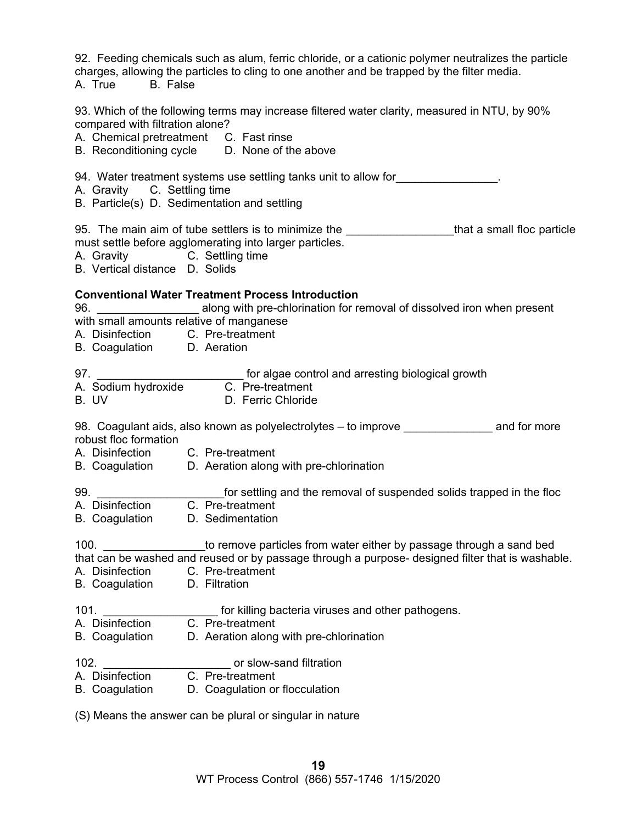92. Feeding chemicals such as alum, ferric chloride, or a cationic polymer neutralizes the particle charges, allowing the particles to cling to one another and be trapped by the filter media.

A. True B. False

93. Which of the following terms may increase filtered water clarity, measured in NTU, by 90% compared with filtration alone?

A. Chemical pretreatment C. Fast rinse

B. Reconditioning cycle D. None of the above

94. Water treatment systems use settling tanks unit to allow for **Source 10** and the set of the set of the set of the set of the set of the set of the set of the set of the set of the set of the set of the set of the set o

- A. Gravity C. Settling time
- B. Particle(s) D. Sedimentation and settling

95. The main aim of tube settlers is to minimize the the that a small floc particle must settle before agglomerating into larger particles.

- A. Gravity C. Settling time
- B. Vertical distance D. Solids

#### **Conventional Water Treatment Process Introduction**

96. **Example 3 along with pre-chlorination for removal of dissolved iron when present** with small amounts relative of manganese

- A. Disinfection C. Pre-treatment
- B. Coagulation D. Aeration
- 97. **we consider the COV** for algae control and arresting biological growth
- A. Sodium hydroxide C. Pre-treatment
- B. UV D. Ferric Chloride

98. Coagulant aids, also known as polyelectrolytes – to improve **Example 20** and for more robust floc formation

- A. Disinfection C. Pre-treatment
- B. Coagulation D. Aeration along with pre-chlorination
- 99. \_\_\_\_\_\_\_\_\_\_\_\_\_\_\_\_\_\_\_\_\_\_\_\_\_\_for settling and the removal of suspended solids trapped in the floc A. Disinfection C. Pre-treatment
- B. Coagulation D. Sedimentation

100. \_\_\_\_\_\_\_\_\_\_\_\_\_\_\_\_to remove particles from water either by passage through a sand bed that can be washed and reused or by passage through a purpose- designed filter that is washable.

- A. Disinfection C. Pre-treatment
- B. Coagulation D. Filtration
- 101. **Example 101.** The state of the formulation bacteria viruses and other pathogens.
- A. Disinfection C. Pre-treatment
- B. Coagulation D. Aeration along with pre-chlorination
- 102. **102. 102. 102. 102. 102. 102. 102. 102. 102. 102. 102. 102. 102. 102. 102. 102. 102. 102. 102. 102. 102. 102. 102. 102. 102. 102. 102. 102. 102. 102. 102.**
- A. Disinfection C. Pre-treatment
- B. Coagulation D. Coagulation or flocculation

(S) Means the answer can be plural or singular in nature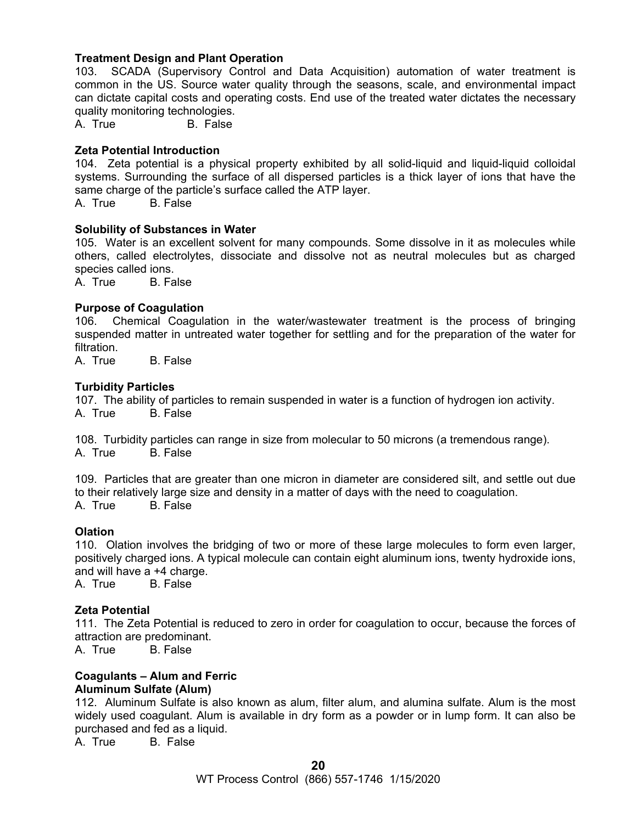#### **Treatment Design and Plant Operation**

103. SCADA (Supervisory Control and Data Acquisition) automation of water treatment is common in the US. Source water quality through the seasons, scale, and environmental impact can dictate capital costs and operating costs. End use of the treated water dictates the necessary quality monitoring technologies.

A. True B. False

#### **Zeta Potential Introduction**

104. Zeta potential is a physical property exhibited by all solid-liquid and liquid-liquid colloidal systems. Surrounding the surface of all dispersed particles is a thick layer of ions that have the same charge of the particle's surface called the ATP layer.

A. True B. False

#### **Solubility of Substances in Water**

105. Water is an excellent solvent for many compounds. Some dissolve in it as molecules while others, called electrolytes, dissociate and dissolve not as neutral molecules but as charged species called ions.

A. True B. False

#### **Purpose of Coagulation**

106. Chemical Coagulation in the water/wastewater treatment is the process of bringing suspended matter in untreated water together for settling and for the preparation of the water for filtration.

A. True B. False

#### **Turbidity Particles**

107. The ability of particles to remain suspended in water is a function of hydrogen ion activity. A. True B. False

108. Turbidity particles can range in size from molecular to 50 microns (a tremendous range). A. True B. False

109. Particles that are greater than one micron in diameter are considered silt, and settle out due to their relatively large size and density in a matter of days with the need to coagulation. A. True B. False

#### **Olation**

110. Olation involves the bridging of two or more of these large molecules to form even larger, positively charged ions. A typical molecule can contain eight aluminum ions, twenty hydroxide ions, and will have a +4 charge.

A. True B. False

#### **Zeta Potential**

111. The Zeta Potential is reduced to zero in order for coagulation to occur, because the forces of attraction are predominant.

A. True B. False

#### **Coagulants – Alum and Ferric Aluminum Sulfate (Alum)**

112. Aluminum Sulfate is also known as alum, filter alum, and alumina sulfate. Alum is the most widely used coagulant. Alum is available in dry form as a powder or in lump form. It can also be purchased and fed as a liquid.

A. True B. False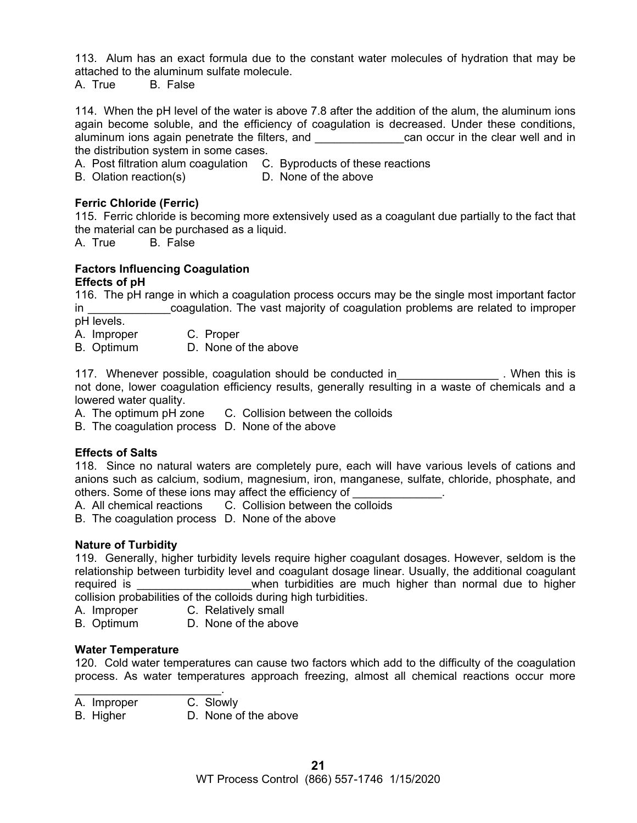113. Alum has an exact formula due to the constant water molecules of hydration that may be attached to the aluminum sulfate molecule.

A. True B. False

114. When the pH level of the water is above 7.8 after the addition of the alum, the aluminum ions again become soluble, and the efficiency of coagulation is decreased. Under these conditions, aluminum ions again penetrate the filters, and **Example 20** can occur in the clear well and in the distribution system in some cases.

A. Post filtration alum coagulation C. Byproducts of these reactions

B. Olation reaction(s) D. None of the above

#### **Ferric Chloride (Ferric)**

115. Ferric chloride is becoming more extensively used as a coagulant due partially to the fact that the material can be purchased as a liquid.

A. True B. False

#### **Factors Influencing Coagulation Effects of pH**

116. The pH range in which a coagulation process occurs may be the single most important factor in **Example 20 in the vast majority of coagulation problems are related to improper** pH levels.

A. Improper C. Proper

B. Optimum D. None of the above

117. Whenever possible, coagulation should be conducted in Theorem 2. When this is not done, lower coagulation efficiency results, generally resulting in a waste of chemicals and a lowered water quality.

A. The optimum pH zone C. Collision between the colloids

B. The coagulation process D. None of the above

#### **Effects of Salts**

118. Since no natural waters are completely pure, each will have various levels of cations and anions such as calcium, sodium, magnesium, iron, manganese, sulfate, chloride, phosphate, and others. Some of these ions may affect the efficiency of

A. All chemical reactions C. Collision between the colloids

B. The coagulation process D. None of the above

#### **Nature of Turbidity**

119. Generally, higher turbidity levels require higher coagulant dosages. However, seldom is the relationship between turbidity level and coagulant dosage linear. Usually, the additional coagulant required is the state of the turbidities are much higher than normal due to higher collision probabilities of the colloids during high turbidities.

A. Improper C. Relatively small

B. Optimum D. None of the above

#### **Water Temperature**

120. Cold water temperatures can cause two factors which add to the difficulty of the coagulation process. As water temperatures approach freezing, almost all chemical reactions occur more

- $\mathcal{L}_\text{max}$  and  $\mathcal{L}_\text{max}$  and  $\mathcal{L}_\text{max}$ A. Improper C. Slowly
- B. Higher D. None of the above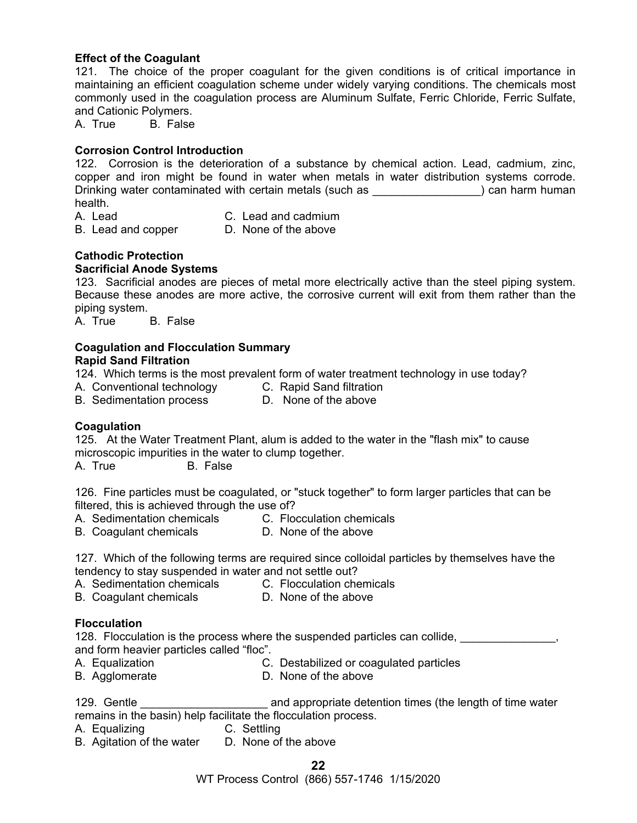#### **Effect of the Coagulant**

121. The choice of the proper coagulant for the given conditions is of critical importance in maintaining an efficient coagulation scheme under widely varying conditions. The chemicals most commonly used in the coagulation process are Aluminum Sulfate, Ferric Chloride, Ferric Sulfate, and Cationic Polymers.

A. True B. False

#### **Corrosion Control Introduction**

122. Corrosion is the deterioration of a substance by chemical action. Lead, cadmium, zinc, copper and iron might be found in water when metals in water distribution systems corrode. Drinking water contaminated with certain metals (such as **with all and more constant)** can harm human health.

- 
- A. Lead C. Lead and cadmium
- B. Lead and copper D. None of the above

# **Cathodic Protection**

#### **Sacrificial Anode Systems**

123. Sacrificial anodes are pieces of metal more electrically active than the steel piping system. Because these anodes are more active, the corrosive current will exit from them rather than the piping system.

A. True B. False

#### **Coagulation and Flocculation Summary Rapid Sand Filtration**

124. Which terms is the most prevalent form of water treatment technology in use today?

- A. Conventional technology C. Rapid Sand filtration<br>B. Sedimentation process D. None of the above
- B. Sedimentation process

#### **Coagulation**

125. At the Water Treatment Plant, alum is added to the water in the "flash mix" to cause microscopic impurities in the water to clump together.

A. True B. False

126. Fine particles must be coagulated, or "stuck together" to form larger particles that can be filtered, this is achieved through the use of?

- A. Sedimentation chemicals C. Flocculation chemicals
- B. Coagulant chemicals D. None of the above
- 127. Which of the following terms are required since colloidal particles by themselves have the tendency to stay suspended in water and not settle out?
- A. Sedimentation chemicals C. Flocculation chemicals
- B. Coagulant chemicals D. None of the above
- 

#### **Flocculation**

128. Flocculation is the process where the suspended particles can collide, and form heavier particles called "floc".

- A. Equalization C. Destabilized or coagulated particles
- B. Agglomerate D. None of the above

129. Gentle \_\_\_\_\_\_\_\_\_\_\_\_\_\_\_\_\_\_\_\_ and appropriate detention times (the length of time water remains in the basin) help facilitate the flocculation process.

- A. Equalizing C. Settling
- B. Agitation of the water D. None of the above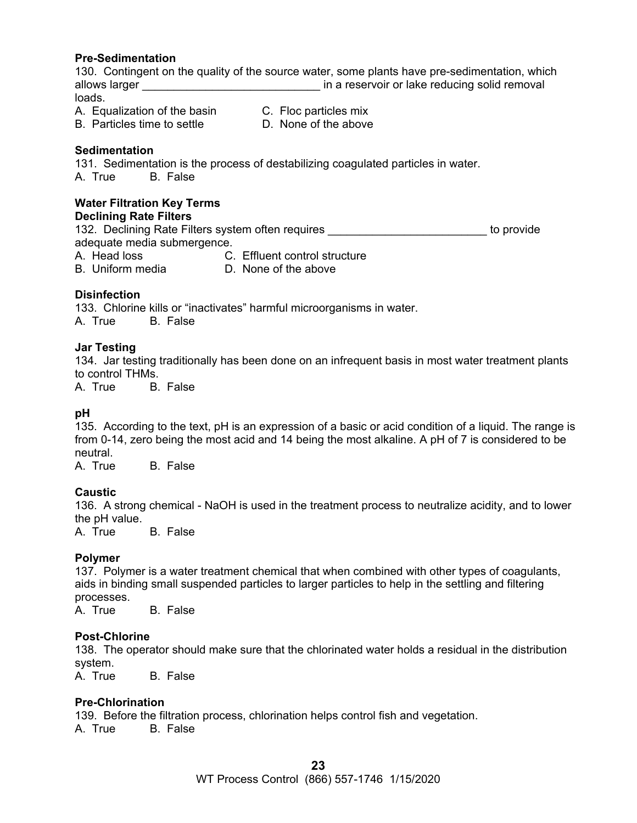#### **Pre-Sedimentation**

130. Contingent on the quality of the source water, some plants have pre-sedimentation, which allows larger **allows** larger  $\qquad \qquad$  in a reservoir or lake reducing solid removal loads.

- A. Equalization of the basin C. Floc particles mix
	-
- B. Particles time to settle D. None of the above
	-

#### **Sedimentation**

131. Sedimentation is the process of destabilizing coagulated particles in water. A. True B. False

# **Water Filtration Key Terms**

#### **Declining Rate Filters**

132. Declining Rate Filters system often requires **the end-offerent contract of the provide** adequate media submergence. A. Head loss C. Effluent control structure

B. Uniform media D. None of the above

#### **Disinfection**

133. Chlorine kills or "inactivates" harmful microorganisms in water. A. True B. False

#### **Jar Testing**

134. Jar testing traditionally has been done on an infrequent basis in most water treatment plants to control THMs.

A. True B. False

#### **pH**

135. According to the text, pH is an expression of a basic or acid condition of a liquid. The range is from 0-14, zero being the most acid and 14 being the most alkaline. A pH of 7 is considered to be neutral.

A. True B. False

#### **Caustic**

136. A strong chemical - NaOH is used in the treatment process to neutralize acidity, and to lower the pH value.<br>A. True

B. False

#### **Polymer**

137. Polymer is a water treatment chemical that when combined with other types of coagulants, aids in binding small suspended particles to larger particles to help in the settling and filtering processes.

A. True B. False

#### **Post-Chlorine**

138. The operator should make sure that the chlorinated water holds a residual in the distribution system.

A. True B. False

#### **Pre-Chlorination**

139. Before the filtration process, chlorination helps control fish and vegetation. A. True B. False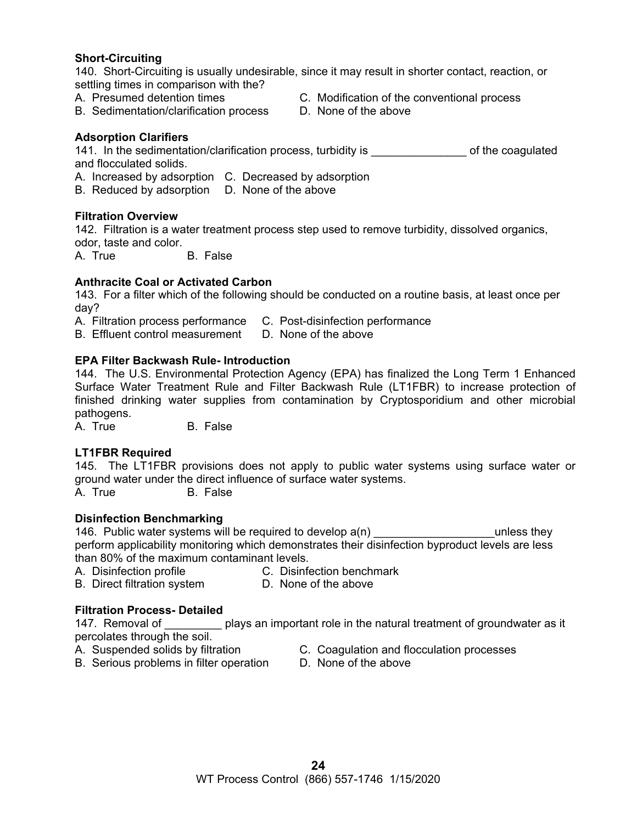#### **Short-Circuiting**

140. Short-Circuiting is usually undesirable, since it may result in shorter contact, reaction, or settling times in comparison with the?

- 
- B. Sedimentation/clarification process D. None of the above
- A. Presumed detention times C. Modification of the conventional process
	-

#### **Adsorption Clarifiers**

141. In the sedimentation/clarification process, turbidity is example of the coagulated and flocculated solids.

- A. Increased by adsorption C. Decreased by adsorption
- B. Reduced by adsorption D. None of the above

#### **Filtration Overview**

142. Filtration is a water treatment process step used to remove turbidity, dissolved organics, odor, taste and color.

A. True B. False

#### **Anthracite Coal or Activated Carbon**

143. For a filter which of the following should be conducted on a routine basis, at least once per day?

- A. Filtration process performance C. Post-disinfection performance
- B. Effluent control measurement D. None of the above

#### **EPA Filter Backwash Rule- Introduction**

144. The U.S. Environmental Protection Agency (EPA) has finalized the Long Term 1 Enhanced Surface Water Treatment Rule and Filter Backwash Rule (LT1FBR) to increase protection of finished drinking water supplies from contamination by Cryptosporidium and other microbial pathogens.

A. True B. False

#### **LT1FBR Required**

145. The LT1FBR provisions does not apply to public water systems using surface water or ground water under the direct influence of surface water systems.

A. True B. False

#### **Disinfection Benchmarking**

146. Public water systems will be required to develop  $a(n)$  examples they perform applicability monitoring which demonstrates their disinfection byproduct levels are less than 80% of the maximum contaminant levels.

- 
- A. Disinfection profile **C. Disinfection benchmark**
- B. Direct filtration system D. None of the above

#### **Filtration Process- Detailed**

147. Removal of plays an important role in the natural treatment of groundwater as it percolates through the soil.

- 
- A. Suspended solids by filtration **C. Coagulation and flocculation processes**
- B. Serious problems in filter operation D. None of the above
- -